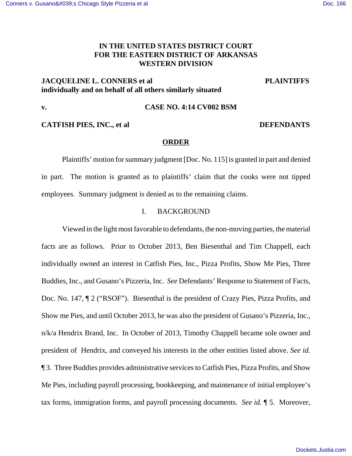# **IN THE UNITED STATES DISTRICT COURT FOR THE EASTERN DISTRICT OF ARKANSAS WESTERN DIVISION**

# **JACQUELINE L. CONNERS et al PLAINTIFFS individually and on behalf of all others similarly situated**

## **v. CASE NO. 4:14 CV002 BSM**

## **CATFISH PIES, INC., et al DEFENDANTS**

## **ORDER**

Plaintiffs' motion for summary judgment [Doc. No. 115] is granted in part and denied in part. The motion is granted as to plaintiffs' claim that the cooks were not tipped employees. Summary judgment is denied as to the remaining claims.

## I. BACKGROUND

Viewed in the light most favorable to defendants, the non-moving parties, the material facts are as follows. Prior to October 2013, Ben Biesenthal and Tim Chappell, each individually owned an interest in Catfish Pies, Inc., Pizza Profits, Show Me Pies, Three Buddies, Inc., and Gusano's Pizzeria, Inc. *See* Defendants' Response to Statement of Facts, Doc. No. 147, ¶ 2 ("RSOF"). Biesenthal is the president of Crazy Pies, Pizza Profits, and Show me Pies, and until October 2013, he was also the president of Gusano's Pizzeria, Inc., n/k/a Hendrix Brand, Inc. In October of 2013, Timothy Chappell became sole owner and president of Hendrix, and conveyed his interests in the other entities listed above. *See id.*  ¶ 3. Three Buddies provides administrative services to Catfish Pies, Pizza Profits, and Show Me Pies, including payroll processing, bookkeeping, and maintenance of initial employee's tax forms, immigration forms, and payroll processing documents. *See id.* ¶ 5. Moreover,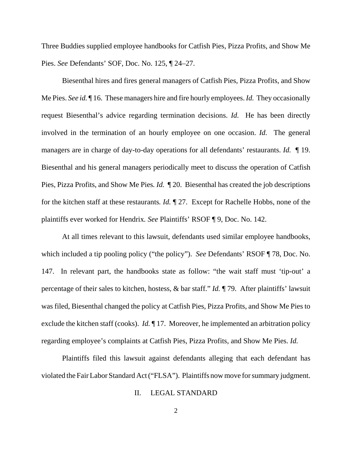Three Buddies supplied employee handbooks for Catfish Pies, Pizza Profits, and Show Me Pies. *See* Defendants' SOF, Doc. No. 125, ¶ 24–27.

Biesenthal hires and fires general managers of Catfish Pies, Pizza Profits, and Show Me Pies. *See id.* ¶ 16. These managers hire and fire hourly employees. *Id.* They occasionally request Biesenthal's advice regarding termination decisions. *Id.* He has been directly involved in the termination of an hourly employee on one occasion. *Id.* The general managers are in charge of day-to-day operations for all defendants' restaurants. *Id.* ¶ 19. Biesenthal and his general managers periodically meet to discuss the operation of Catfish Pies, Pizza Profits, and Show Me Pies. *Id.*  $\mathbb{I}$  20. Biesenthal has created the job descriptions for the kitchen staff at these restaurants*. Id.* ¶ 27.Except for Rachelle Hobbs, none of the plaintiffs ever worked for Hendrix*. See* Plaintiffs' RSOF ¶ 9, Doc. No. 142.

At all times relevant to this lawsuit, defendants used similar employee handbooks, which included a tip pooling policy ("the policy"). *See* Defendants' RSOF ¶ 78, Doc. No. 147. In relevant part, the handbooks state as follow: "the wait staff must 'tip-out' a percentage of their sales to kitchen, hostess, & bar staff." *Id.* ¶ 79. After plaintiffs' lawsuit was filed, Biesenthal changed the policy at Catfish Pies, Pizza Profits, and Show Me Pies to exclude the kitchen staff (cooks). *Id.* ¶ 17. Moreover, he implemented an arbitration policy regarding employee's complaints at Catfish Pies, Pizza Profits, and Show Me Pies. *Id.*

Plaintiffs filed this lawsuit against defendants alleging that each defendant has violated the Fair Labor Standard Act ("FLSA"). Plaintiffs now move for summary judgment.

II. LEGAL STANDARD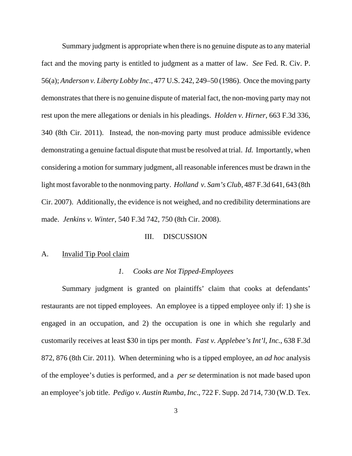Summary judgment is appropriate when there is no genuine dispute as to any material fact and the moving party is entitled to judgment as a matter of law. *See* Fed. R. Civ. P. 56(a); *Anderson v. Liberty Lobby Inc.*, 477 U.S. 242, 249–50 (1986). Once the moving party demonstrates that there is no genuine dispute of material fact, the non-moving party may not rest upon the mere allegations or denials in his pleadings. *Holden v. Hirner*, 663 F.3d 336, 340 (8th Cir. 2011). Instead, the non-moving party must produce admissible evidence demonstrating a genuine factual dispute that must be resolved at trial. *Id.* Importantly, when considering a motion for summary judgment, all reasonable inferences must be drawn in the light most favorable to the nonmoving party. *Holland v. Sam's Club*, 487 F.3d 641, 643 (8th Cir. 2007). Additionally, the evidence is not weighed, and no credibility determinations are made. *Jenkins v. Winter*, 540 F.3d 742, 750 (8th Cir. 2008).

### III. DISCUSSION

#### A. Invalid Tip Pool claim

#### *1. Cooks are Not Tipped-Employees*

Summary judgment is granted on plaintiffs' claim that cooks at defendants' restaurants are not tipped employees. An employee is a tipped employee only if: 1) she is engaged in an occupation, and 2) the occupation is one in which she regularly and customarily receives at least \$30 in tips per month. *Fast v. Applebee's Int'l, Inc.*, 638 F.3d 872, 876 (8th Cir. 2011). When determining who is a tipped employee, an *ad hoc* analysis of the employee's duties is performed, and a *per se* determination is not made based upon an employee's job title. *Pedigo v. Austin Rumba, Inc*., 722 F. Supp. 2d 714, 730 (W.D. Tex.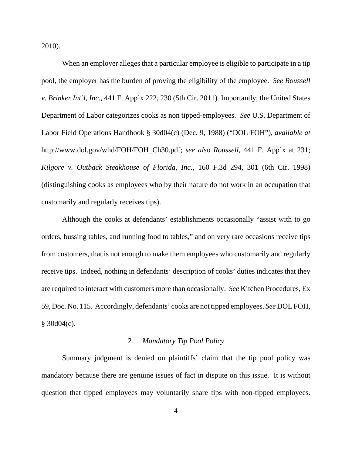2010).

When an employer alleges that a particular employee is eligible to participate in a tip pool, the employer has the burden of proving the eligibility of the employee. *See Roussell v. Brinker Int'l, Inc.,* 441 F. App'x 222, 230 (5th Cir. 2011)*.* Importantly, the United States Department of Labor categorizes cooks as non tipped-employees. *See* U.S. Department of Labor Field Operations Handbook § 30d04(c) (Dec. 9, 1988) ("DOL FOH"), *available at* http://www.dol.gov/whd/FOH/FOH\_Ch30.pdf; *see also Roussell*, 441 F. App'x at 231; *Kilgore v. Outback Steakhouse of Florida, Inc.*, 160 F.3d 294, 301 (6th Cir. 1998) (distinguishing cooks as employees who by their nature do not work in an occupation that customarily and regularly receives tips).

Although the cooks at defendants' establishments occasionally "assist with to go orders, bussing tables, and running food to tables," and on very rare occasions receive tips from customers, that is not enough to make them employees who customarily and regularly receive tips. Indeed, nothing in defendants' description of cooks' duties indicates that they are required to interact with customers more than occasionally. *See* Kitchen Procedures, Ex 59, Doc. No. 115. Accordingly, defendants' cooks are not tipped employees. *See* DOL FOH,  $§$  30d04(c).

#### *2. Mandatory Tip Pool Policy*

Summary judgment is denied on plaintiffs' claim that the tip pool policy was mandatory because there are genuine issues of fact in dispute on this issue. It is without question that tipped employees may voluntarily share tips with non-tipped employees.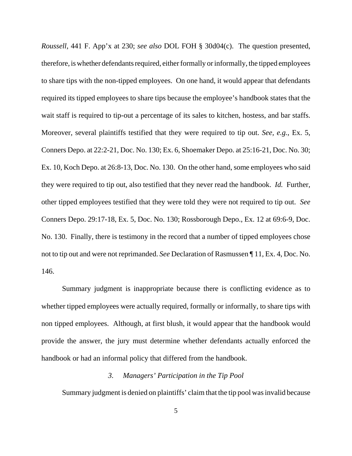*Roussell*, 441 F. App'x at 230; *see also* DOL FOH § 30d04(c). The question presented, therefore, is whether defendants required, either formally or informally, the tipped employees to share tips with the non-tipped employees. On one hand, it would appear that defendants required its tipped employees to share tips because the employee's handbook states that the wait staff is required to tip-out a percentage of its sales to kitchen, hostess, and bar staffs. Moreover, several plaintiffs testified that they were required to tip out. *See, e.g.*, Ex. 5, Conners Depo. at 22:2-21, Doc. No. 130; Ex. 6, Shoemaker Depo. at 25:16-21, Doc. No. 30; Ex. 10, Koch Depo. at 26:8-13, Doc. No. 130. On the other hand, some employees who said they were required to tip out, also testified that they never read the handbook. *Id.* Further, other tipped employees testified that they were told they were not required to tip out. *See* Conners Depo. 29:17-18, Ex. 5, Doc. No. 130; Rossborough Depo., Ex. 12 at 69:6-9, Doc. No. 130. Finally, there is testimony in the record that a number of tipped employees chose not to tip out and were not reprimanded. *See* Declaration of Rasmussen ¶ 11, Ex. 4, Doc. No. 146.

Summary judgment is inappropriate because there is conflicting evidence as to whether tipped employees were actually required, formally or informally, to share tips with non tipped employees. Although, at first blush, it would appear that the handbook would provide the answer, the jury must determine whether defendants actually enforced the handbook or had an informal policy that differed from the handbook.

## *3. Managers' Participation in the Tip Pool*

Summary judgment is denied on plaintiffs' claim that the tip pool was invalid because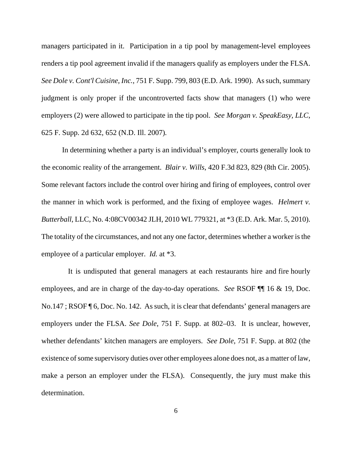managers participated in it. Participation in a tip pool by management-level employees renders a tip pool agreement invalid if the managers qualify as employers under the FLSA. *See Dole v. Cont'l Cuisine, Inc.*, 751 F. Supp. 799, 803 (E.D. Ark. 1990). As such, summary judgment is only proper if the uncontroverted facts show that managers (1) who were employers (2) were allowed to participate in the tip pool. *See Morgan v. SpeakEasy, LLC*, 625 F. Supp. 2d 632, 652 (N.D. Ill. 2007)*.* 

In determining whether a party is an individual's employer, courts generally look to the economic reality of the arrangement. *Blair v. Wills*, 420 F.3d 823, 829 (8th Cir. 2005). Some relevant factors include the control over hiring and firing of employees, control over the manner in which work is performed, and the fixing of employee wages. *Helmert v. Butterball*, LLC, No. 4:08CV00342 JLH, 2010 WL 779321, at \*3 (E.D. Ark. Mar. 5, 2010). The totality of the circumstances, and not any one factor, determines whether a worker is the employee of a particular employer. *Id.* at \*3.

 It is undisputed that general managers at each restaurants hire and fire hourly employees, and are in charge of the day-to-day operations. *See* RSOF ¶¶ 16 & 19, Doc. No.147 ; RSOF ¶ 6, Doc. No. 142. As such, it is clear that defendants' general managers are employers under the FLSA. *See Dole*, 751 F. Supp. at 802–03. It is unclear, however, whether defendants' kitchen managers are employers. *See Dole*, 751 F. Supp. at 802 (the existence of some supervisory duties over other employees alone does not, as a matter of law, make a person an employer under the FLSA). Consequently, the jury must make this determination.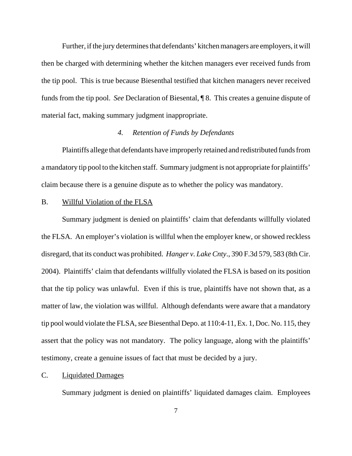Further, if the jury determines that defendants' kitchen managers are employers, it will then be charged with determining whether the kitchen managers ever received funds from the tip pool. This is true because Biesenthal testified that kitchen managers never received funds from the tip pool. *See* Declaration of Biesental, ¶ 8. This creates a genuine dispute of material fact, making summary judgment inappropriate.

## *4. Retention of Funds by Defendants*

Plaintiffs allege that defendants have improperly retained and redistributed funds from a mandatory tip pool to the kitchen staff. Summary judgment is not appropriate for plaintiffs' claim because there is a genuine dispute as to whether the policy was mandatory.

## B. Willful Violation of the FLSA

Summary judgment is denied on plaintiffs' claim that defendants willfully violated the FLSA. An employer's violation is willful when the employer knew, or showed reckless disregard, that its conduct was prohibited. *Hanger v. Lake Cnty*., 390 F.3d 579, 583 (8th Cir. 2004). Plaintiffs' claim that defendants willfully violated the FLSA is based on its position that the tip policy was unlawful. Even if this is true, plaintiffs have not shown that, as a matter of law, the violation was willful. Although defendants were aware that a mandatory tip pool would violate the FLSA, *see* Biesenthal Depo. at 110:4-11, Ex. 1, Doc. No. 115, they assert that the policy was not mandatory. The policy language, along with the plaintiffs' testimony, create a genuine issues of fact that must be decided by a jury.

#### C. Liquidated Damages

Summary judgment is denied on plaintiffs' liquidated damages claim. Employees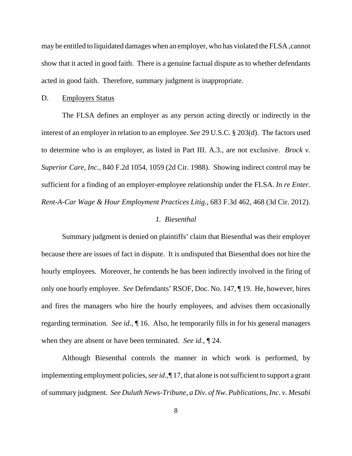may be entitled to liquidated damages when an employer, who has violated the FLSA ,cannot show that it acted in good faith. There is a genuine factual dispute as to whether defendants acted in good faith. Therefore, summary judgment is inappropriate.

#### D. Employers Status

The FLSA defines an employer as any person acting directly or indirectly in the interest of an employer in relation to an employee. *See* 29 U.S.C. § 203(d). The factors used to determine who is an employer, as listed in Part III. A.3., are not exclusive. *Brock v. Superior Care, Inc.*, 840 F.2d 1054, 1059 (2d Cir. 1988). Showing indirect control may be sufficient for a finding of an employer-employee relationship under the FLSA. *In re Enter. Rent-A-Car Wage & Hour Employment Practices Litig.*, 683 F.3d 462, 468 (3d Cir. 2012).

## *1. Biesenthal*

Summary judgment is denied on plaintiffs' claim that Biesenthal was their employer because there are issues of fact in dispute. It is undisputed that Biesenthal does not hire the hourly employees. Moreover, he contends he has been indirectly involved in the firing of only one hourly employee. *See* Defendants' RSOF, Doc. No. 147, ¶ 19. He, however, hires and fires the managers who hire the hourly employees, and advises them occasionally regarding termination. *See id.*, ¶ 16. Also, he temporarily fills in for his general managers when they are absent or have been terminated. *See id.*, ¶ 24.

Although Biesenthal controls the manner in which work is performed, by implementing employment policies, *see id.,*¶ 17, that alone is not sufficient to support a grant of summary judgment. *See Duluth News-Tribune, a Div. of Nw. Publications, Inc. v. Mesabi*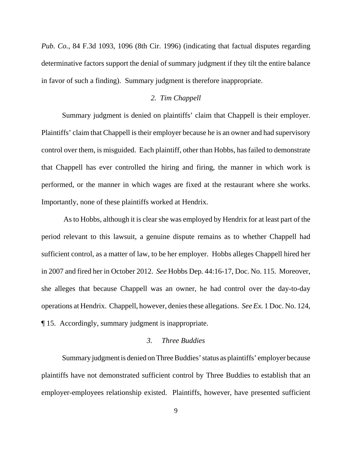*Pub. Co.*, 84 F.3d 1093, 1096 (8th Cir. 1996) (indicating that factual disputes regarding determinative factors support the denial of summary judgment if they tilt the entire balance in favor of such a finding). Summary judgment is therefore inappropriate.

## *2. Tim Chappell*

Summary judgment is denied on plaintiffs' claim that Chappell is their employer. Plaintiffs' claim that Chappell is their employer because he is an owner and had supervisory control over them, is misguided. Each plaintiff, other than Hobbs, has failed to demonstrate that Chappell has ever controlled the hiring and firing, the manner in which work is performed, or the manner in which wages are fixed at the restaurant where she works. Importantly, none of these plaintiffs worked at Hendrix.

 As to Hobbs, although it is clear she was employed by Hendrix for at least part of the period relevant to this lawsuit, a genuine dispute remains as to whether Chappell had sufficient control, as a matter of law, to be her employer. Hobbs alleges Chappell hired her in 2007 and fired her in October 2012. *See* Hobbs Dep*.* 44:16-17, Doc. No. 115. Moreover, she alleges that because Chappell was an owner, he had control over the day-to-day operations at Hendrix. Chappell, however, denies these allegations. *See Ex.* 1 Doc. No. 124, ¶ 15. Accordingly, summary judgment is inappropriate.

#### *3. Three Buddies*

Summary judgment is denied on Three Buddies' status as plaintiffs' employer because plaintiffs have not demonstrated sufficient control by Three Buddies to establish that an employer-employees relationship existed. Plaintiffs, however, have presented sufficient